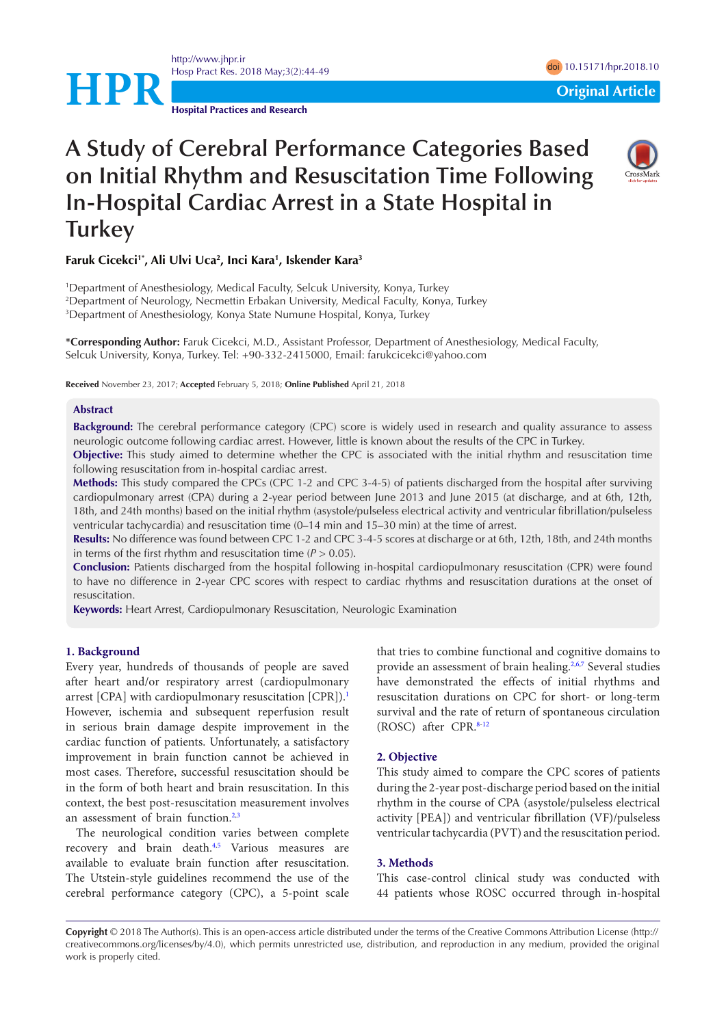**HPR**<br> **EXECUTE:** Original Article

**Hospital Practices and Research**

<http://www.jhpr.ir>

# **A Study of Cerebral Performance Categories Based on Initial Rhythm and Resuscitation Time Following In-Hospital Cardiac Arrest in a State Hospital in Turkey**



## **Faruk Cicekci1\*, Ali Ulvi Uca2 , Inci Kara1 , Iskender Kara3**

1 Department of Anesthesiology, Medical Faculty, Selcuk University, Konya, Turkey 2 Department of Neurology, Necmettin Erbakan University, Medical Faculty, Konya, Turkey 3 Department of Anesthesiology, Konya State Numune Hospital, Konya, Turkey

**\*Corresponding Author:** Faruk Cicekci, M.D., Assistant Professor, Department of Anesthesiology, Medical Faculty, Selcuk University, Konya, Turkey. Tel: +90-332-2415000, Email: farukcicekci@yahoo.com

**Received** November 23, 2017; **Accepted** February 5, 2018; **Online Published** April 21, 2018

#### **Abstract**

**Background:** The cerebral performance category (CPC) score is widely used in research and quality assurance to assess neurologic outcome following cardiac arrest. However, little is known about the results of the CPC in Turkey.

**Objective:** This study aimed to determine whether the CPC is associated with the initial rhythm and resuscitation time following resuscitation from in-hospital cardiac arrest.

**Methods:** This study compared the CPCs (CPC 1-2 and CPC 3-4-5) of patients discharged from the hospital after surviving cardiopulmonary arrest (CPA) during a 2-year period between June 2013 and June 2015 (at discharge, and at 6th, 12th, 18th, and 24th months) based on the initial rhythm (asystole/pulseless electrical activity and ventricular fibrillation/pulseless ventricular tachycardia) and resuscitation time (0–14 min and 15–30 min) at the time of arrest.

**Results:** No difference was found between CPC 1-2 and CPC 3-4-5 scores at discharge or at 6th, 12th, 18th, and 24th months in terms of the first rhythm and resuscitation time  $(P > 0.05)$ .

**Conclusion:** Patients discharged from the hospital following in-hospital cardiopulmonary resuscitation (CPR) were found to have no difference in 2-year CPC scores with respect to cardiac rhythms and resuscitation durations at the onset of resuscitation.

**Keywords:** Heart Arrest, Cardiopulmonary Resuscitation, Neurologic Examination

#### **1. Background**

Every year, hundreds of thousands of people are saved after heart and/or respiratory arrest (cardiopulmonary arrest  $[CPA]$  with cardiopulmonary resuscitation  $[CPR]$ .<sup>[1](#page-4-0)</sup> However, ischemia and subsequent reperfusion result in serious brain damage despite improvement in the cardiac function of patients. Unfortunately, a satisfactory improvement in brain function cannot be achieved in most cases. Therefore, successful resuscitation should be in the form of both heart and brain resuscitation. In this context, the best post-resuscitation measurement involves an assessment of brain function.<sup>2[,3](#page-4-2)</sup>

The neurological condition varies between complete recovery and brain death.<sup>4[,5](#page-4-4)</sup> Various measures are available to evaluate brain function after resuscitation. The Utstein-style guidelines recommend the use of the cerebral performance category (CPC), a 5-point scale that tries to combine functional and cognitive domains to provide an assessment of brain healing.<sup>2[,6](#page-4-5)[,7](#page-4-6)</sup> Several studies have demonstrated the effects of initial rhythms and resuscitation durations on CPC for short- or long-term survival and the rate of return of spontaneous circulation (ROSC) after CPR.[8-](#page-4-7)[12](#page-5-0)

## **2. Objective**

This study aimed to compare the CPC scores of patients during the 2-year post-discharge period based on the initial rhythm in the course of CPA (asystole/pulseless electrical activity [PEA]) and ventricular fibrillation (VF)/pulseless ventricular tachycardia (PVT) and the resuscitation period.

## **3. Methods**

This case-control clinical study was conducted with 44 patients whose ROSC occurred through in-hospital

**Copyright** © 2018 The Author(s). This is an open-access article distributed under the terms of the Creative Commons Attribution License (http:// creativecommons.org/licenses/by/4.0), which permits unrestricted use, distribution, and reproduction in any medium, provided the original work is properly cited.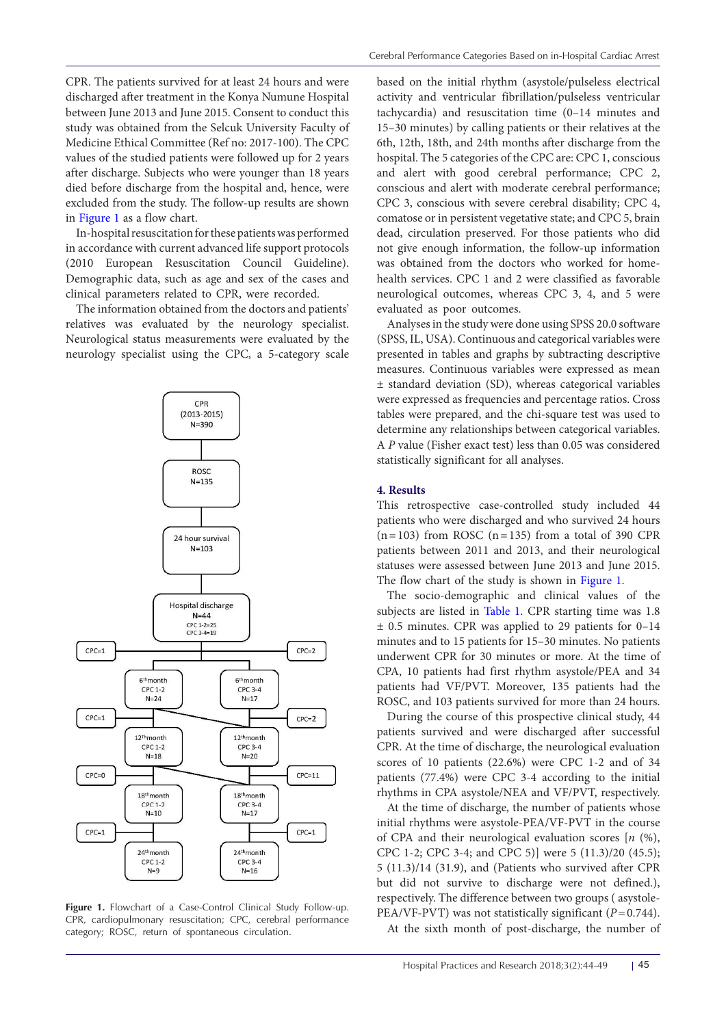CPR. The patients survived for at least 24 hours and were discharged after treatment in the Konya Numune Hospital between June 2013 and June 2015. Consent to conduct this study was obtained from the Selcuk University Faculty of Medicine Ethical Committee (Ref no: 2017-100). The CPC values of the studied patients were followed up for 2 years after discharge. Subjects who were younger than 18 years died before discharge from the hospital and, hence, were excluded from the study. The follow-up results are shown in [Figure 1](#page-1-0) as a flow chart.

In-hospital resuscitation for these patients was performed in accordance with current advanced life support protocols (2010 European Resuscitation Council Guideline). Demographic data, such as age and sex of the cases and clinical parameters related to CPR, were recorded.

The information obtained from the doctors and patients' relatives was evaluated by the neurology specialist. Neurological status measurements were evaluated by the neurology specialist using the CPC, a 5-category scale

<span id="page-1-0"></span>

**Figure 1.** Flowchart of a Case-Control Clinical Study Follow-up. CPR, cardiopulmonary resuscitation; CPC, cerebral performance category; ROSC, return of spontaneous circulation.

based on the initial rhythm (asystole/pulseless electrical activity and ventricular fibrillation/pulseless ventricular tachycardia) and resuscitation time (0–14 minutes and 15–30 minutes) by calling patients or their relatives at the 6th, 12th, 18th, and 24th months after discharge from the hospital. The 5 categories of the CPC are: CPC 1, conscious and alert with good cerebral performance; CPC 2, conscious and alert with moderate cerebral performance; CPC 3, conscious with severe cerebral disability; CPC 4, comatose or in persistent vegetative state; and CPC 5, brain dead, circulation preserved. For those patients who did not give enough information, the follow-up information was obtained from the doctors who worked for homehealth services. CPC 1 and 2 were classified as favorable neurological outcomes, whereas CPC 3, 4, and 5 were evaluated as poor outcomes.

Analyses in the study were done using SPSS 20.0 software (SPSS, IL, USA). Continuous and categorical variables were presented in tables and graphs by subtracting descriptive measures. Continuous variables were expressed as mean ± standard deviation (SD), whereas categorical variables were expressed as frequencies and percentage ratios. Cross tables were prepared, and the chi-square test was used to determine any relationships between categorical variables. A *P* value (Fisher exact test) less than 0.05 was considered statistically significant for all analyses.

## **4. Results**

This retrospective case-controlled study included 44 patients who were discharged and who survived 24 hours  $(n=103)$  from ROSC  $(n=135)$  from a total of 390 CPR patients between 2011 and 2013, and their neurological statuses were assessed between June 2013 and June 2015. The flow chart of the study is shown in [Figure 1.](#page-1-0)

The socio-demographic and clinical values of the subjects are listed in [Table 1.](#page-2-0) CPR starting time was 1.8  $\pm$  0.5 minutes. CPR was applied to 29 patients for 0–14 minutes and to 15 patients for 15–30 minutes. No patients underwent CPR for 30 minutes or more. At the time of CPA, 10 patients had first rhythm asystole/PEA and 34 patients had VF/PVT. Moreover, 135 patients had the ROSC, and 103 patients survived for more than 24 hours.

During the course of this prospective clinical study, 44 patients survived and were discharged after successful CPR. At the time of discharge, the neurological evaluation scores of 10 patients (22.6%) were CPC 1-2 and of 34 patients (77.4%) were CPC 3-4 according to the initial rhythms in CPA asystole/NEA and VF/PVT, respectively.

At the time of discharge, the number of patients whose initial rhythms were asystole-PEA/VF-PVT in the course of CPA and their neurological evaluation scores [*n* (%), CPC 1-2; CPC 3-4; and CPC 5)] were 5 (11.3)/20 (45.5); 5 (11.3)/14 (31.9), and (Patients who survived after CPR but did not survive to discharge were not defined.), respectively. The difference between two groups ( asystole-PEA/VF-PVT) was not statistically significant (*P*=0.744).

At the sixth month of post-discharge, the number of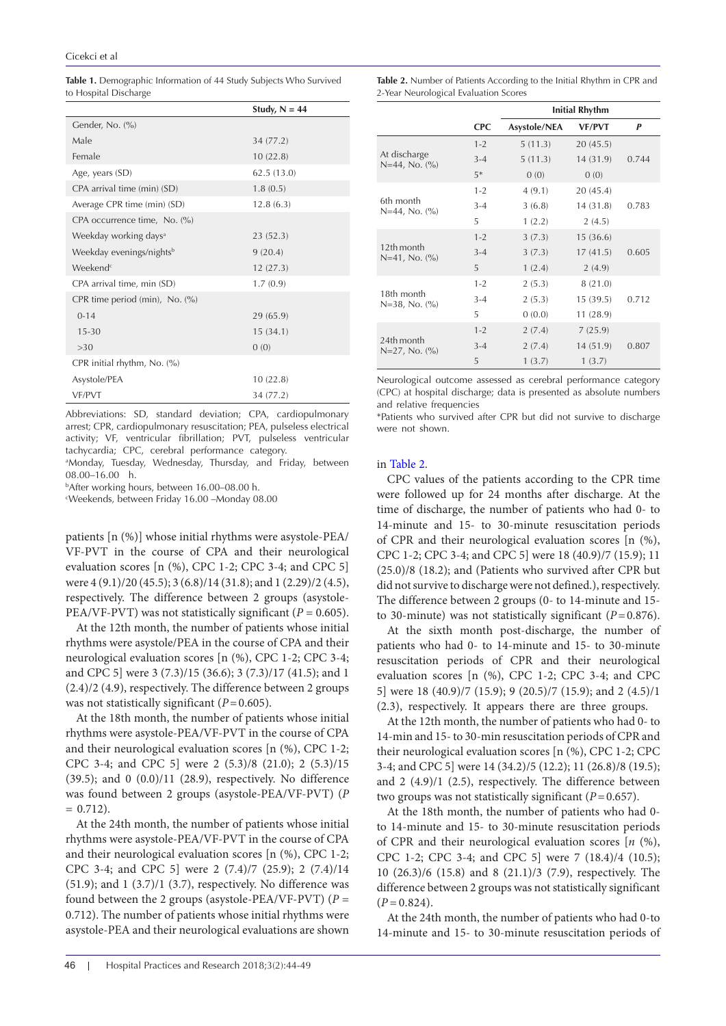<span id="page-2-0"></span>Table 1. Demographic Information of 44 Study Subjects Who Survived to Hospital Discharge

|                                      | Study, $N = 44$ |  |  |  |
|--------------------------------------|-----------------|--|--|--|
| Gender, No. (%)                      |                 |  |  |  |
| Male                                 | 34 (77.2)       |  |  |  |
| Female                               | 10(22.8)        |  |  |  |
| Age, years (SD)                      | 62.5(13.0)      |  |  |  |
| CPA arrival time (min) (SD)          | 1.8(0.5)        |  |  |  |
| Average CPR time (min) (SD)          | 12.8(6.3)       |  |  |  |
| CPA occurrence time, No. (%)         |                 |  |  |  |
| Weekday working days <sup>a</sup>    | 23(52.3)        |  |  |  |
| Weekday evenings/nights <sup>b</sup> | 9(20.4)         |  |  |  |
| Weekend <sup>c</sup>                 | 12(27.3)        |  |  |  |
| CPA arrival time, min (SD)           | 1.7(0.9)        |  |  |  |
| CPR time period (min), No. (%)       |                 |  |  |  |
| $0 - 14$                             | 29 (65.9)       |  |  |  |
| $15 - 30$                            | 15(34.1)        |  |  |  |
| >30                                  | 0(0)            |  |  |  |
| CPR initial rhythm, No. $(\%)$       |                 |  |  |  |
| Asystole/PEA                         | 10(22.8)        |  |  |  |
| VF/PVT                               | 34 (77.2)       |  |  |  |
|                                      |                 |  |  |  |

Abbreviations: SD, standard deviation; CPA, cardiopulmonary arrest; CPR, cardiopulmonary resuscitation; PEA, pulseless electrical activity; VF, ventricular fibrillation; PVT, pulseless ventricular tachycardia; CPC, cerebral performance category.

a Monday, Tuesday, Wednesday, Thursday, and Friday, between 08.00–16.00 h.

b After working hours, between 16.00–08.00 h.

c Weekends, between Friday 16.00 –Monday 08.00

patients [n (%)] whose initial rhythms were asystole-PEA/ VF-PVT in the course of CPA and their neurological evaluation scores [n (%), CPC 1-2; CPC 3-4; and CPC 5] were 4 (9.1)/20 (45.5); 3 (6.8)/14 (31.8); and 1 (2.29)/2 (4.5), respectively. The difference between 2 groups (asystole-PEA/VF-PVT) was not statistically significant ( $P = 0.605$ ).

At the 12th month, the number of patients whose initial rhythms were asystole/PEA in the course of CPA and their neurological evaluation scores [n (%), CPC 1-2; CPC 3-4; and CPC 5] were 3 (7.3)/15 (36.6); 3 (7.3)/17 (41.5); and 1 (2.4)/2 (4.9), respectively. The difference between 2 groups was not statistically significant ( $P=0.605$ ).

At the 18th month, the number of patients whose initial rhythms were asystole-PEA/VF-PVT in the course of CPA and their neurological evaluation scores [n (%), CPC 1-2; CPC 3-4; and CPC 5] were 2 (5.3)/8 (21.0); 2 (5.3)/15 (39.5); and 0 (0.0)/11 (28.9), respectively. No difference was found between 2 groups (asystole-PEA/VF-PVT) (*P*  $= 0.712$ .

At the 24th month, the number of patients whose initial rhythms were asystole-PEA/VF-PVT in the course of CPA and their neurological evaluation scores [n (%), CPC 1-2; CPC 3-4; and CPC 5] were 2 (7.4)/7 (25.9); 2 (7.4)/14 (51.9); and  $1$  (3.7)/1 (3.7), respectively. No difference was found between the 2 groups (asystole-PEA/VF-PVT) (*P* = 0.712). The number of patients whose initial rhythms were asystole-PEA and their neurological evaluations are shown

<span id="page-2-1"></span>**Table 2.** Number of Patients According to the Initial Rhythm in CPR and 2-Year Neurological Evaluation Scores

|                                                       |            | <b>Initial Rhythm</b> |               |       |  |
|-------------------------------------------------------|------------|-----------------------|---------------|-------|--|
|                                                       | <b>CPC</b> | Asystole/NEA          | <b>VF/PVT</b> | P     |  |
| At discharge<br>$N=44$ , No. $\binom{0}{0}$           | $1 - 2$    | 5(11.3)               | 20(45.5)      |       |  |
|                                                       | $3 - 4$    | 5(11.3)               | 14 (31.9)     | 0.744 |  |
|                                                       | $5*$       | 0(0)                  | 0(0)          |       |  |
|                                                       | $1 - 2$    | 4(9.1)                | 20(45.4)      |       |  |
| 6th month<br>$N=44$ , No. $\frac{O}{O}$               | $3 - 4$    | 3(6.8)                | 14 (31.8)     | 0.783 |  |
|                                                       | 5          | 1(2.2)                | 2(4.5)        |       |  |
|                                                       | $1 - 2$    | 3(7.3)                | 15(36.6)      |       |  |
| 12th month<br>$N=41$ , No. $\binom{0}{0}$             | $3 - 4$    | 3(7.3)                | 17(41.5)      | 0.605 |  |
|                                                       | 5          | 1(2.4)                | 2(4.9)        |       |  |
|                                                       | $1 - 2$    | 2(5.3)                | 8(21.0)       |       |  |
| 18th month<br>$N=38$ , No. $\frac{6}{6}$              | $3 - 4$    | 2(5.3)                | 15(39.5)      | 0.712 |  |
|                                                       | 5          | 0(0.0)                | 11(28.9)      |       |  |
| 24th month<br>$N=27$ , No. $\left(\frac{9}{6}\right)$ | $1 - 2$    | 2(7.4)                | 7(25.9)       |       |  |
|                                                       | $3 - 4$    | 2(7.4)                | 14(51.9)      | 0.807 |  |
|                                                       | 5          | 1(3.7)                | 1(3.7)        |       |  |

Neurological outcome assessed as cerebral performance category (CPC) at hospital discharge; data is presented as absolute numbers and relative frequencies

\*Patients who survived after CPR but did not survive to discharge were not shown.

#### in [Table 2.](#page-2-1)

CPC values of the patients according to the CPR time were followed up for 24 months after discharge. At the time of discharge, the number of patients who had 0- to 14-minute and 15- to 30-minute resuscitation periods of CPR and their neurological evaluation scores [n (%), CPC 1-2; CPC 3-4; and CPC 5] were 18 (40.9)/7 (15.9); 11 (25.0)/8 (18.2); and (Patients who survived after CPR but did not survive to discharge were not defined.), respectively. The difference between 2 groups (0- to 14-minute and 15 to 30-minute) was not statistically significant (*P*=0.876).

At the sixth month post-discharge, the number of patients who had 0- to 14-minute and 15- to 30-minute resuscitation periods of CPR and their neurological evaluation scores [n (%), CPC 1-2; CPC 3-4; and CPC 5] were 18 (40.9)/7 (15.9); 9 (20.5)/7 (15.9); and 2 (4.5)/1 (2.3), respectively. It appears there are three groups.

At the 12th month, the number of patients who had 0- to 14-min and 15- to 30-min resuscitation periods of CPR and their neurological evaluation scores [n (%), CPC 1-2; CPC 3-4; and CPC 5] were 14 (34.2)/5 (12.2); 11 (26.8)/8 (19.5); and 2 (4.9)/1 (2.5), respectively. The difference between two groups was not statistically significant (*P*=0.657).

At the 18th month, the number of patients who had 0 to 14-minute and 15- to 30-minute resuscitation periods of CPR and their neurological evaluation scores [*n* (%), CPC 1-2; CPC 3-4; and CPC 5] were 7 (18.4)/4 (10.5); 10 (26.3)/6 (15.8) and 8 (21.1)/3 (7.9), respectively. The difference between 2 groups was not statistically significant  $(P = 0.824)$ .

At the 24th month, the number of patients who had 0-to 14-minute and 15- to 30-minute resuscitation periods of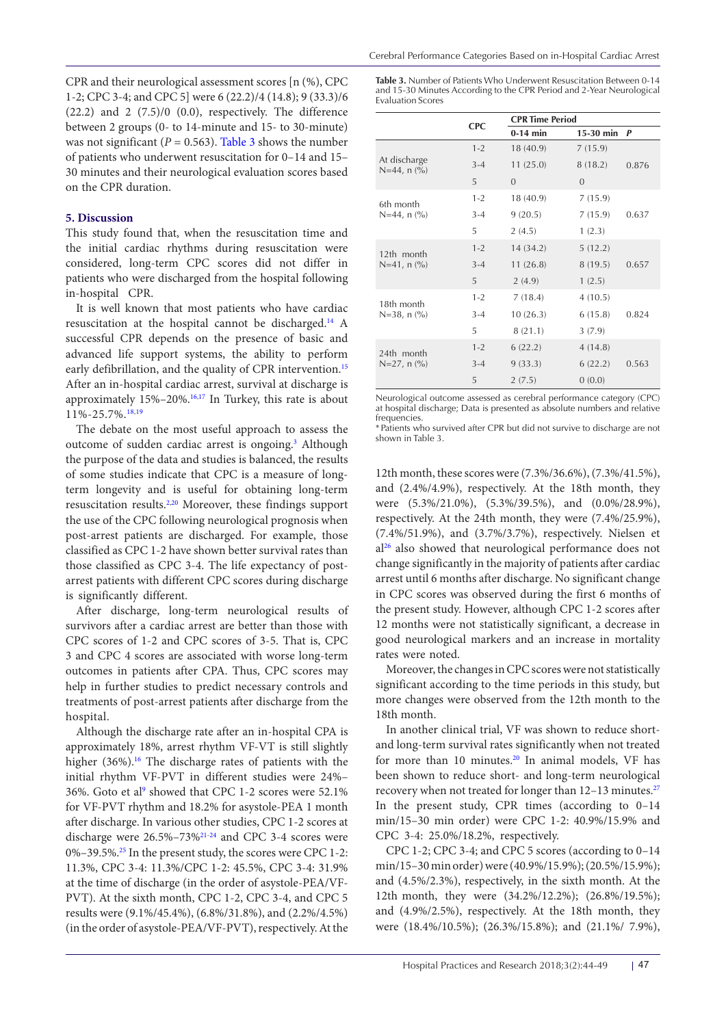CPR and their neurological assessment scores [n (%), CPC 1-2; CPC 3-4; and CPC 5] were 6 (22.2)/4 (14.8); 9 (33.3)/6  $(22.2)$  and  $2$   $(7.5)/0$   $(0.0)$ , respectively. The difference between 2 groups (0- to 14-minute and 15- to 30-minute) was not significant  $(P = 0.563)$ . [Table 3](#page-3-0) shows the number of patients who underwent resuscitation for 0–14 and 15– 30 minutes and their neurological evaluation scores based on the CPR duration.

## **5. Discussion**

This study found that, when the resuscitation time and the initial cardiac rhythms during resuscitation were considered, long-term CPC scores did not differ in patients who were discharged from the hospital following in-hospital CPR.

It is well known that most patients who have cardiac resuscitation at the hospital cannot be discharged[.14](#page-5-1) A successful CPR depends on the presence of basic and advanced life support systems, the ability to perform early defibrillation, and the quality of CPR intervention.<sup>[15](#page-5-2)</sup> After an in-hospital cardiac arrest, survival at discharge is approximately 15%–20%.[16,](#page-5-3)[17](#page-5-4) In Turkey, this rate is about 11%-25.7%.[18](#page-5-5)[,19](#page-5-6)

The debate on the most useful approach to assess the outcome of sudden cardiac arrest is ongoing.<sup>[3](#page-4-2)</sup> Although the purpose of the data and studies is balanced, the results of some studies indicate that CPC is a measure of longterm longevity and is useful for obtaining long-term resuscitation results[.2](#page-4-1),[20](#page-5-7) Moreover, these findings support the use of the CPC following neurological prognosis when post-arrest patients are discharged. For example, those classified as CPC 1-2 have shown better survival rates than those classified as CPC 3-4. The life expectancy of postarrest patients with different CPC scores during discharge is significantly different.

After discharge, long-term neurological results of survivors after a cardiac arrest are better than those with CPC scores of 1-2 and CPC scores of 3-5. That is, CPC 3 and CPC 4 scores are associated with worse long-term outcomes in patients after CPA. Thus, CPC scores may help in further studies to predict necessary controls and treatments of post-arrest patients after discharge from the hospital.

Although the discharge rate after an in-hospital CPA is approximately 18%, arrest rhythm VF-VT is still slightly higher  $(36\%)$ .<sup>16</sup> The discharge rates of patients with the initial rhythm VF-PVT in different studies were 24%– 36%. Goto et al<sup>[9](#page-4-8)</sup> showed that CPC 1-2 scores were 52.1% for VF-PVT rhythm and 18.2% for asystole-PEA 1 month after discharge. In various other studies, CPC 1-2 scores at discharge were 26.5%–73[%21-](#page-5-8)[24](#page-5-9) and CPC 3-4 scores were 0%–39.5%.[25](#page-5-10) In the present study, the scores were CPC 1-2: 11.3%, CPC 3-4: 11.3%/CPC 1-2: 45.5%, CPC 3-4: 31.9% at the time of discharge (in the order of asystole-PEA/VF-PVT). At the sixth month, CPC 1-2, CPC 3-4, and CPC 5 results were (9.1%/45.4%), (6.8%/31.8%), and (2.2%/4.5%) (in the order of asystole-PEA/VF-PVT), respectively. At the

<span id="page-3-0"></span>**Table 3.** Number of Patients Who Underwent Resuscitation Between 0-14 and 15-30 Minutes According to the CPR Period and 2-Year Neurological Evaluation Scores

|                                                     | <b>CPC</b> | <b>CPR Time Period</b> |             |              |
|-----------------------------------------------------|------------|------------------------|-------------|--------------|
|                                                     |            | $0-14$ min             | $15-30$ min | $\mathbf{P}$ |
| At discharge<br>$N=44$ , n $(\% )$                  | $1 - 2$    | 18(40.9)               | 7(15.9)     |              |
|                                                     | $3 - 4$    | 11(25.0)               | 8(18.2)     | 0.876        |
|                                                     | 5          | $\Omega$               | $\Omega$    |              |
| 6th month<br>$N=44$ , n $\left(\frac{9}{6}\right)$  | $1 - 2$    | 18 (40.9)              | 7(15.9)     |              |
|                                                     | $3-4$      | 9(20.5)                | 7(15.9)     | 0.637        |
|                                                     | 5          | 2(4.5)                 | 1(2.3)      |              |
| 12th month<br>$N=41$ , n $\left(\frac{0}{0}\right)$ | $1 - 2$    | 14 (34.2)              | 5(12.2)     |              |
|                                                     | $3 - 4$    | 11(26.8)               | 8(19.5)     | 0.657        |
|                                                     | 5          | 2(4.9)                 | 1(2.5)      |              |
| 18th month<br>$N=38$ , n $\left(\frac{9}{6}\right)$ | $1 - 2$    | 7(18.4)                | 4(10.5)     |              |
|                                                     | $3-4$      | 10(26.3)               | 6(15.8)     | 0.824        |
|                                                     | 5          | 8(21.1)                | 3(7.9)      |              |
| 24th month<br>$N=27$ , n $\left(\frac{9}{6}\right)$ | $1 - 2$    | 6(22.2)                | 4(14.8)     |              |
|                                                     | $3 - 4$    | 9(33.3)                | 6(22.2)     | 0.563        |
|                                                     | 5          | 2(7.5)                 | 0(0.0)      |              |

Neurological outcome assessed as cerebral performance category (CPC) at hospital discharge; Data is presented as absolute numbers and relative frequencies.

\*Patients who survived after CPR but did not survive to discharge are not shown in Table 3.

12th month, these scores were (7.3%/36.6%), (7.3%/41.5%), and (2.4%/4.9%), respectively. At the 18th month, they were (5.3%/21.0%), (5.3%/39.5%), and (0.0%/28.9%), respectively. At the 24th month, they were (7.4%/25.9%), (7.4%/51.9%), and (3.7%/3.7%), respectively. Nielsen et a[l26](#page-5-11) also showed that neurological performance does not change significantly in the majority of patients after cardiac arrest until 6 months after discharge. No significant change in CPC scores was observed during the first 6 months of the present study. However, although CPC 1-2 scores after 12 months were not statistically significant, a decrease in good neurological markers and an increase in mortality rates were noted.

Moreover, the changes in CPC scores were not statistically significant according to the time periods in this study, but more changes were observed from the 12th month to the 18th month.

In another clinical trial, VF was shown to reduce shortand long-term survival rates significantly when not treated for more than 10 minutes.<sup>[20](#page-5-7)</sup> In animal models, VF has been shown to reduce short- and long-term neurological recovery when not treated for longer than 12–13 minutes.<sup>[27](#page-5-12)</sup> In the present study, CPR times (according to 0–14 min/15–30 min order) were CPC 1-2: 40.9%/15.9% and CPC 3-4: 25.0%/18.2%, respectively.

CPC 1-2; CPC 3-4; and CPC 5 scores (according to 0–14 min/15–30 min order) were (40.9%/15.9%); (20.5%/15.9%); and (4.5%/2.3%), respectively, in the sixth month. At the 12th month, they were (34.2%/12.2%); (26.8%/19.5%); and (4.9%/2.5%), respectively. At the 18th month, they were (18.4%/10.5%); (26.3%/15.8%); and (21.1%/ 7.9%),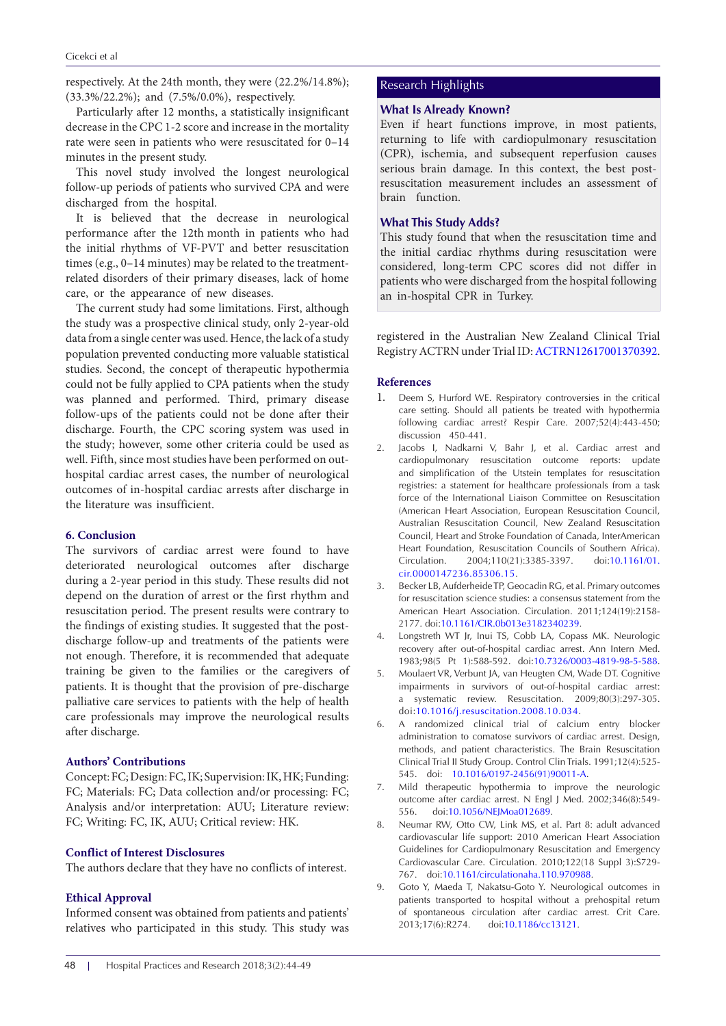respectively. At the 24th month, they were (22.2%/14.8%); (33.3%/22.2%); and (7.5%/0.0%), respectively.

Particularly after 12 months, a statistically insignificant decrease in the CPC 1-2 score and increase in the mortality rate were seen in patients who were resuscitated for 0–14 minutes in the present study.

This novel study involved the longest neurological follow-up periods of patients who survived CPA and were discharged from the hospital.

It is believed that the decrease in neurological performance after the 12th month in patients who had the initial rhythms of VF-PVT and better resuscitation times (e.g., 0–14 minutes) may be related to the treatmentrelated disorders of their primary diseases, lack of home care, or the appearance of new diseases.

The current study had some limitations. First, although the study was a prospective clinical study, only 2-year-old data from a single center was used. Hence, the lack of a study population prevented conducting more valuable statistical studies. Second, the concept of therapeutic hypothermia could not be fully applied to CPA patients when the study was planned and performed. Third, primary disease follow-ups of the patients could not be done after their discharge. Fourth, the CPC scoring system was used in the study; however, some other criteria could be used as well. Fifth, since most studies have been performed on outhospital cardiac arrest cases, the number of neurological outcomes of in-hospital cardiac arrests after discharge in the literature was insufficient.

# **6. Conclusion**

The survivors of cardiac arrest were found to have deteriorated neurological outcomes after discharge during a 2-year period in this study. These results did not depend on the duration of arrest or the first rhythm and resuscitation period. The present results were contrary to the findings of existing studies. It suggested that the postdischarge follow-up and treatments of the patients were not enough. Therefore, it is recommended that adequate training be given to the families or the caregivers of patients. It is thought that the provision of pre-discharge palliative care services to patients with the help of health care professionals may improve the neurological results after discharge.

## **Authors' Contributions**

Concept: FC; Design: FC, IK; Supervision: IK, HK; Funding: FC; Materials: FC; Data collection and/or processing: FC; Analysis and/or interpretation: AUU; Literature review: FC; Writing: FC, IK, AUU; Critical review: HK.

# **Conflict of Interest Disclosures**

The authors declare that they have no conflicts of interest.

#### **Ethical Approval**

Informed consent was obtained from patients and patients' relatives who participated in this study. This study was

## Research Highlights

## **What Is Already Known?**

Even if heart functions improve, in most patients, returning to life with cardiopulmonary resuscitation (CPR), ischemia, and subsequent reperfusion causes serious brain damage. In this context, the best postresuscitation measurement includes an assessment of brain function.

# **What This Study Adds?**

This study found that when the resuscitation time and the initial cardiac rhythms during resuscitation were considered, long-term CPC scores did not differ in patients who were discharged from the hospital following an in-hospital CPR in Turkey.

registered in the Australian New Zealand Clinical Trial Registry ACTRN under Trial ID: [ACTRN12617001370392](http://www.anzctr.org.au/TrialSearch.aspx?searchTxt=ACTRN12617001370392&isBasic=True).

#### **References**

- <span id="page-4-0"></span>1. Deem S, Hurford WE. Respiratory controversies in the critical care setting. Should all patients be treated with hypothermia following cardiac arrest? Respir Care. 2007;52(4):443-450; discussion 450-441.
- <span id="page-4-1"></span>2. Jacobs I, Nadkarni V, Bahr J, et al. Cardiac arrest and cardiopulmonary resuscitation outcome reports: update and simplification of the Utstein templates for resuscitation registries: a statement for healthcare professionals from a task force of the International Liaison Committee on Resuscitation (American Heart Association, European Resuscitation Council, Australian Resuscitation Council, New Zealand Resuscitation Council, Heart and Stroke Foundation of Canada, InterAmerican Heart Foundation, Resuscitation Councils of Southern Africa). Circulation. 2004;110(21):3385-3397. doi[:10.1161/01.](https://doi.org/10.1161/01.cir.0000147236.85306.15) [cir.0000147236.85306.15.](https://doi.org/10.1161/01.cir.0000147236.85306.15)
- <span id="page-4-2"></span>3. Becker LB, AufderheideTP, Geocadin RG, et al. Primary outcomes for resuscitation science studies: a consensus statement from the American Heart Association. Circulation. 2011;124(19):2158- 2177. doi:[10.1161/CIR.0b013e3182340239](https://doi.org/10.1161/CIR.0b013e3182340239).
- <span id="page-4-3"></span>4. Longstreth WT Jr, Inui TS, Cobb LA, Copass MK. Neurologic recovery after out-of-hospital cardiac arrest. Ann Intern Med. 1983;98(5 Pt 1):588-592. doi:[10.7326/0003-4819-98-5-588](https://doi.org/10.7326/0003-4819-98-5-588).
- <span id="page-4-4"></span>5. Moulaert VR, Verbunt JA, van Heugten CM, Wade DT. Cognitive impairments in survivors of out-of-hospital cardiac arrest: a systematic review. Resuscitation. 2009;80(3):297-305. doi:[10.1016/j.resuscitation.2008.10.034](https://doi.org/10.1016/j.resuscitation.2008.10.034).
- <span id="page-4-5"></span>6. A randomized clinical trial of calcium entry blocker administration to comatose survivors of cardiac arrest. Design, methods, and patient characteristics. The Brain Resuscitation Clinical Trial II Study Group. Control Clin Trials. 1991;12(4):525- 545. doi: [10.1016/0197-2456\(91\)90011-A.](https://doi.org/10.1016/0197-2456(91)90011-A)
- <span id="page-4-6"></span>7. Mild therapeutic hypothermia to improve the neurologic outcome after cardiac arrest. N Engl J Med. 2002;346(8):549- 556. doi:[10.1056/NEJMoa012689](https://doi.org/10.1056/NEJMoa012689).
- <span id="page-4-7"></span>8. Neumar RW, Otto CW, Link MS, et al. Part 8: adult advanced cardiovascular life support: 2010 American Heart Association Guidelines for Cardiopulmonary Resuscitation and Emergency Cardiovascular Care. Circulation. 2010;122(18 Suppl 3):S729- 767. doi[:10.1161/circulationaha.110.970988.](https://doi.org/10.1161/circulationaha.110.970988)
- <span id="page-4-8"></span>9. Goto Y, Maeda T, Nakatsu-Goto Y. Neurological outcomes in patients transported to hospital without a prehospital return of spontaneous circulation after cardiac arrest. Crit Care. 2013;17(6):R274. doi:[10.1186/cc13121](https://doi.org/10.1186/cc13121).